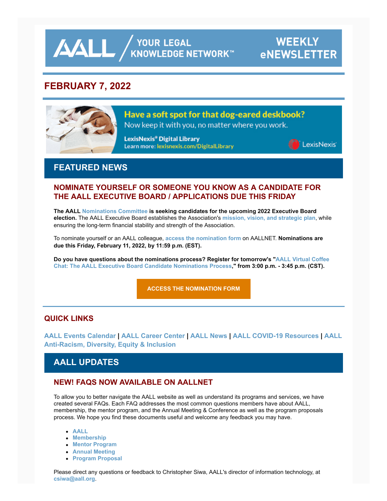**AALL** AND AND ARRIVE ALL AND A YOUR LEGAL

# **WEEKLY eNEWSLETTER**

## **FEBRUARY 7, 2022**



Have a soft spot for that dog-eared deskbook?

Now keep it with you, no matter where you work.

LexisNexis® Digital Library Learn more: lexisnexis.com/DigitalLibrary



## **FEATURED NEWS**

## **NOMINATE YOURSELF OR SOMEONE YOU KNOW AS A CANDIDATE FOR THE AALL EXECUTIVE BOARD / APPLICATIONS DUE THIS FRIDAY**

**The AALL [Nominations Committee](https://www.aallnet.org/about-us/who-we-are/committees-juries/nominations-committee/) is seeking candidates for the upcoming 2022 Executive Board election.** The AALL Executive Board establishes the Association's **[mission, vision, and strategic plan](https://www.aallnet.org/about-us/what-we-do/strategic-plan/)**, while ensuring the long-term financial stability and strength of the Association.

To nominate yourself or an AALL colleague, **[access the nomination form](https://www.aallnet.org/about-us/who-we-are/executive-board/nominations-elections/board-nomination-form/)** on AALLNET. **Nominations are due this Friday, February 11, 2022, by 11:59 p.m. (EST).**

**[Do you have questions about the nominations process? Register for tomorrow's "AALL Virtual Coffee](https://elearning.aallnet.org/products/virtual-coffee-chat-the-aall-executive-board-candidate-nominations-process) Chat: The AALL Executive Board Candidate Nominations Process," from 3:00 p.m. - 3:45 p.m. (CST).**

**[ACCESS THE NOMINATION FORM](https://www.aallnet.org/about-us/who-we-are/executive-board/nominations-elections/board-nomination-form/)**

## **QUICK LINKS**

**[AALL Events Calenda](https://www.aallnet.org/forms/MeetingCalendar/)[r |](https://www.aallnet.org/about-us/press-room/anti-racism-diversity-equity-inclusion/) [AALL Career Cente](https://careers.aallnet.org/)[r |](https://www.aallnet.org/about-us/press-room/anti-racism-diversity-equity-inclusion/) [AALL News](https://www.aallnet.org/about-us/press-room/news/) [| A](https://www.aallnet.org/about-us/press-room/anti-racism-diversity-equity-inclusion/)[ALL COVID-19 Resources](https://www.aallnet.org/about-us/press-room/coronavirus/) [| AALL](https://www.aallnet.org/about-us/press-room/anti-racism-diversity-equity-inclusion/) Anti-Racism, Diversity, Equity & Inclusion**

## **AALL UPDATES**

## **NEW! FAQS NOW AVAILABLE ON AALLNET**

To allow you to better navigate the AALL website as well as understand its programs and services, we have created several FAQs. Each FAQ addresses the most common questions members have about AALL, membership, the mentor program, and the Annual Meeting & Conference as well as the program proposals process. We hope you find these documents useful and welcome any feedback you may have.

- **[AALL](https://www.aallnet.org/about-us/what-we-do/aall-faq/)**
- **[Membership](https://www.aallnet.org/community/membership/faqs/)**
- **[Mentor Program](https://www.aallnet.org/careers/mentor-program/faqs/)**
- **[Annual Meeting](https://www.aallnet.org/conference/about/annualmeetingfaq/)**
- **[Program Proposal](https://www.aallnet.org/conference/resources/proposing-a-program/programproposalfaq/)**

Please direct any questions or feedback to Christopher Siwa, AALL's director of information technology, at **[csiwa@aall.org](mailto:csiwa@aall.org)**.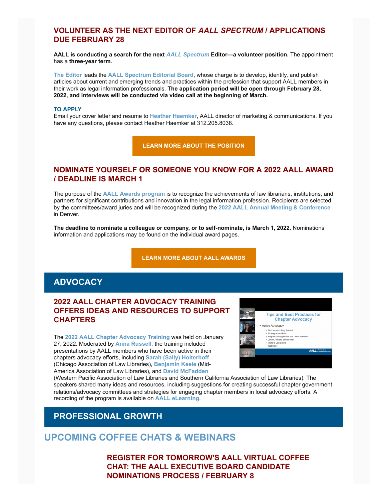### **VOLUNTEER AS THE NEXT EDITOR OF** *AALL SPECTRUM* **/ APPLICATIONS DUE FEBRUARY 28**

**AALL is conducting a search for the next** *[AALL Spectrum](https://www.aallnet.org/resources-publications/publications/aall-spectrum/)* **Editor—a volunteer position.** The appointment has a **three-year term**.

**[The Editor](https://www.aallnet.org/resources-publications/publications/aall-spectrum/aall-spectrum-editor/)** leads the **[AALL Spectrum Editorial Board](https://www.aallnet.org/about-us/who-we-are/committees-juries/aall-spectrum-editorial-board/)**, whose charge is to develop, identify, and publish articles about current and emerging trends and practices within the profession that support AALL members in their work as legal information professionals. **The application period will be open through February 28, 2022, and interviews will be conducted via video call at the beginning of March.**

#### **TO APPLY**

Email your cover letter and resume to **[Heather Haemker](mailto:hhaemker@aall.org)**, AALL director of marketing & communications. If you have any questions, please contact Heather Haemker at 312.205.8038.

**[LEARN MORE ABOUT THE POSITION](https://www.aallnet.org/resources-publications/publications/aall-spectrum/aall-spectrum-editor/)**

### **NOMINATE YOURSELF OR SOMEONE YOU KNOW FOR A 2022 AALL AWARD / DEADLINE IS MARCH 1**

The purpose of the **[AALL Awards program](https://www.aallnet.org/community/recognition/awards-program/)** is to recognize the achievements of law librarians, institutions, and partners for significant contributions and innovation in the legal information profession. Recipients are selected by the committees/award juries and will be recognized during the **[2022 AALL Annual Meeting & Conference](https://www.aallnet.org/conference/)** in Denver.

**The deadline to nominate a colleague or company, or to self-nominate, is March 1, 2022.** Nominations information and applications may be found on the individual award pages.

**[LEARN MORE ABOUT AALL AWARDS](https://www.aallnet.org/community/recognition/awards-program/)**

## **ADVOCACY**

## **2022 AALL CHAPTER ADVOCACY TRAINING OFFERS IDEAS AND RESOURCES TO SUPPORT CHAPTERS**

The **[2022 AALL Chapter Advocacy Training](https://elearning.aallnet.org/products/2022-aall-chapter-advocacy-training)** was held on January 27, 2022. Moderated by **[Anna Russell,](https://www.aallnet.org/forms/cas/login?service=/members_only/membership/IndividualFormPublicMembers/detail%3Fid%3D2010017D586)** the training included presentations by AALL members who have been active in their chapters advocacy efforts, including **[Sarah \(Sally\) Holterhoff](https://www.aallnet.org/forms/cas/login?service=/members_only/membership/IndividualFormPublicMembers/detail%3Fid%3D201000335EE)** (Chicago Association of Law Libraries), **[Benjamin Keele](https://www.aallnet.org/forms/cas/login?service=/members_only/membership/IndividualFormPublicMembers/detail%3Fid%3D20100164AC7)** (Mid-America Association of Law Libraries), and **[David McFadden](https://www.aallnet.org/members_only/membership/IndividualFormPublicMembers/detail?id=201000436AC)**



(Western Pacific Association of Law Libraries and Southern California Association of Law Libraries). The speakers shared many ideas and resources, including suggestions for creating successful chapter government relations/advocacy committees and strategies for engaging chapter members in local advocacy efforts. A recording of the program is available on **[AALL eLearning](https://elearning.aallnet.org/products/2022-aall-chapter-advocacy-training)**.

## **PROFESSIONAL GROWTH**

## **UPCOMING COFFEE CHATS & WEBINARS**

**REGISTER FOR TOMORROW'S AALL VIRTUAL COFFEE CHAT: THE AALL EXECUTIVE BOARD CANDIDATE NOMINATIONS PROCESS / FEBRUARY 8**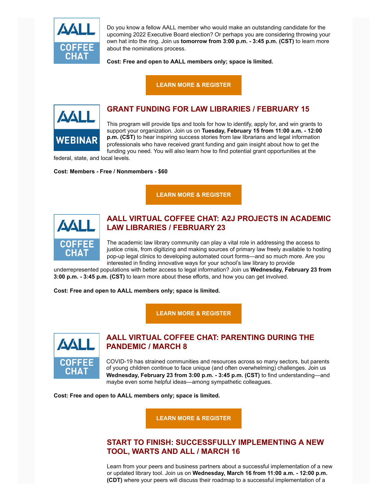

Do you know a fellow AALL member who would make an outstanding candidate for the upcoming 2022 Executive Board election? Or perhaps you are considering throwing your own hat into the ring. Join us **tomorrow from 3:00 p.m. - 3:45 p.m. (CST)** to learn more about the nominations process.

**Cost: Free and open to AALL members only; space is limited.**

**[LEARN MORE & REGISTER](https://elearning.aallnet.org/products/virtual-coffee-chat-the-aall-executive-board-candidate-nominations-process)**



## **GRANT FUNDING FOR LAW LIBRARIES / FEBRUARY 15**

This program will provide tips and tools for how to identify, apply for, and win grants to support your organization. Join us on **Tuesday, February 15 from 11:00 a.m. - 12:00 p.m. (CST)** to hear inspiring success stories from law librarians and legal information professionals who have received grant funding and gain insight about how to get the funding you need. You will also learn how to find potential grant opportunities at the

federal, state, and local levels.

#### **Cost: Members - Free / Nonmembers - \$60**

**[LEARN MORE & REGISTER](https://elearning.aallnet.org/products/grant-funding-for-law-libraries)**



## **AALL VIRTUAL COFFEE CHAT: A2J PROJECTS IN ACADEMIC LAW LIBRARIES / FEBRUARY 23**

The academic law library community can play a vital role in addressing the access to justice crisis, from digitizing and making sources of primary law freely available to hosting pop-up legal clinics to developing automated court forms—and so much more. Are you interested in finding innovative ways for your school's law library to provide

underrepresented populations with better access to legal information? Join us **Wednesday, February 23 from 3:00 p.m. - 3:45 p.m. (CST)** to learn more about these efforts, and how you can get involved.

**Cost: Free and open to AALL members only; space is limited.**

**[LEARN MORE & REGISTER](https://elearning.aallnet.org/products/virtual-coffee-chat-a2j-projects-in-academic-law-libraries#tab-product_tab_overview)**



### **AALL VIRTUAL COFFEE CHAT: PARENTING DURING THE PANDEMIC / MARCH 8**

COVID-19 has strained communities and resources across so many sectors, but parents of young children continue to face unique (and often overwhelming) challenges. Join us **Wednesday, February 23 from 3:00 p.m. - 3:45 p.m. (CST)** to find understanding—and maybe even some helpful ideas—among sympathetic colleagues.

**Cost: Free and open to AALL members only; space is limited.**

**[LEARN MORE & REGISTER](https://elearning.aallnet.org/products/virtual-coffee-chat-parenting-during-the-pandemic)**

## **START TO FINISH: SUCCESSFULLY IMPLEMENTING A NEW TOOL, WARTS AND ALL / MARCH 16**

Learn from your peers and business partners about a successful implementation of a new or updated library tool. Join us on **Wednesday, March 16 from 11:00 a.m. - 12:00 p.m. (CDT)** where your peers will discuss their roadmap to a successful implementation of a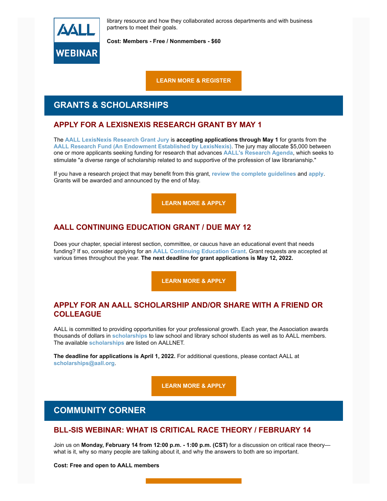

library resource and how they collaborated across departments and with business partners to meet their goals.

**Cost: Members - Free / Nonmembers - \$60**

**[LEARN MORE & REGISTER](https://elearning.aallnet.org/products/start-to-finish-successfully-implementing-a-new-tool-warts-and-all)**

## **GRANTS & SCHOLARSHIPS**

## **APPLY FOR A LEXISNEXIS RESEARCH GRANT BY MAY 1**

The **[AALL LexisNexis Research Grant Jury](https://www.aallnet.org/about-us/who-we-are/committees-juries/lexisnexis-research-grant-jury/)** is **accepting applications through May 1** for grants from the **[AALL Research Fund \(An Endowment Established by LexisNexis\)](https://www.aallnet.org/education-training/grants/research-grants/)**. The jury may allocate \$5,000 between one or more applicants seeking funding for research that advances **[AALL's](https://www.aallnet.org/education-training/grants/research-grants/research-agenda/) [Research Agenda](https://www.aallnet.org/education-training/grants/research-grants/research-agenda/)**, which seeks to stimulate "a diverse range of scholarship related to and supportive of the profession of law librarianship."

If you have a research project that may benefit from this grant, **[review the complete guidelines](https://www.aallnet.org/education-training/grants/research-grants/)** and **[apply](https://www.aallnet.org/wp-content/uploads/2021/10/aall-grant-researchfund.pdf)**. Grants will be awarded and announced by the end of May.

**[LEARN MORE & APPLY](https://www.aallnet.org/wp-content/uploads/2021/10/aall-grant-researchfund.pdf)**

## **AALL CONTINUING EDUCATION GRANT / DUE MAY 12**

Does your chapter, special interest section, committee, or caucus have an educational event that needs funding? If so, consider applying for an **[AALL Continuing Education Grant](https://www.aallnet.org/education-training/grants/cpe-program-grants/)**. Grant requests are accepted at various times throughout the year. **The next deadline for grant applications is May 12, 2022.**

**[LEARN MORE & APPLY](https://www.aallnet.org/education-training/grants/cpe-program-grants/)**

### **APPLY FOR AN AALL SCHOLARSHIP AND/OR SHARE WITH A FRIEND OR COLLEAGUE**

AALL is committed to providing opportunities for your professional growth. Each year, the Association awards thousands of dollars in **[scholarships](https://www.aallnet.org/education-training/scholarships/)** to law school and library school students as well as to AALL members. The available **[scholarships](https://www.aallnet.org/education-training/scholarships/)** are listed on AALLNET.

**The deadline for applications is April 1, 2022.** For additional questions, please contact AALL at **[scholarships@aall.org](mailto:scholarships@aall.org)**.

**[LEARN MORE & APPLY](https://www.aallnet.org/education-training/scholarships/)**

## **COMMUNITY CORNER**

### **BLL-SIS WEBINAR: WHAT IS CRITICAL RACE THEORY / FEBRUARY 14**

Join us on **Monday, February 14 from 12:00 p.m. - 1:00 p.m. (CST)** for a discussion on critical race theory what is it, why so many people are talking about it, and why the answers to both are so important.

**Cost: Free and open to AALL members**